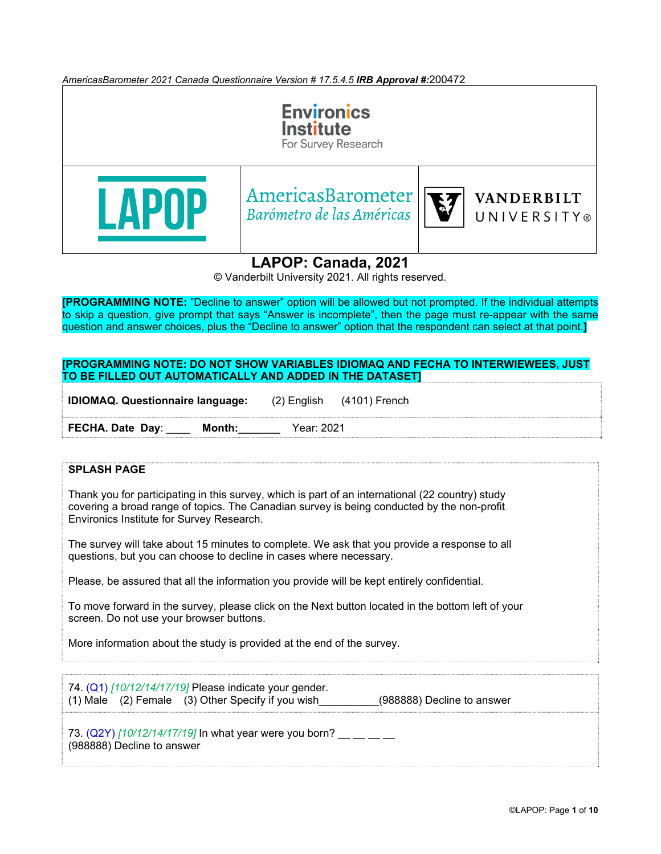*AmericasBarometer 2021 Canada Questionnaire Version # 17.5.4.5 IRB Approval #:*200472



**LAPOP: Canada, 2021**

© Vanderbilt University 2021. All rights reserved.

**[PROGRAMMING NOTE:** "Decline to answer" option will be allowed but not prompted. If the individual attempts to skip a question, give prompt that says "Answer is incomplete", then the page must re-appear with the same question and answer choices, plus the "Decline to answer" option that the respondent can select at that point.**]**

### **[PROGRAMMING NOTE: DO NOT SHOW VARIABLES IDIOMAQ AND FECHA TO INTERWIEWEES, JUST TO BE FILLED OUT AUTOMATICALLY AND ADDED IN THE DATASET]**

| <b>IDIOMAQ. Questionnaire language:</b> |            | $(2)$ English $(4101)$ French |
|-----------------------------------------|------------|-------------------------------|
| FECHA. Date Day:<br>Month:              | Year: 2021 |                               |

### **SPLASH PAGE**

Thank you for participating in this survey, which is part of an international (22 country) study covering a broad range of topics. The Canadian survey is being conducted by the non-profit Environics Institute for Survey Research.

The survey will take about 15 minutes to complete. We ask that you provide a response to all questions, but you can choose to decline in cases where necessary.

Please, be assured that all the information you provide will be kept entirely confidential.

To move forward in the survey, please click on the Next button located in the bottom left of your screen. Do not use your browser buttons.

More information about the study is provided at the end of the survey.

74. (Q1) *[10/12/14/17/19]* Please indicate your gender. (1) Male  $(2)$  Female  $(3)$  Other Specify if you wish  $(988888)$  Decline to answer

73. (Q2Y) [10/12/14/17/19] In what year were you born? \_\_ \_ \_ \_ (988888) Decline to answer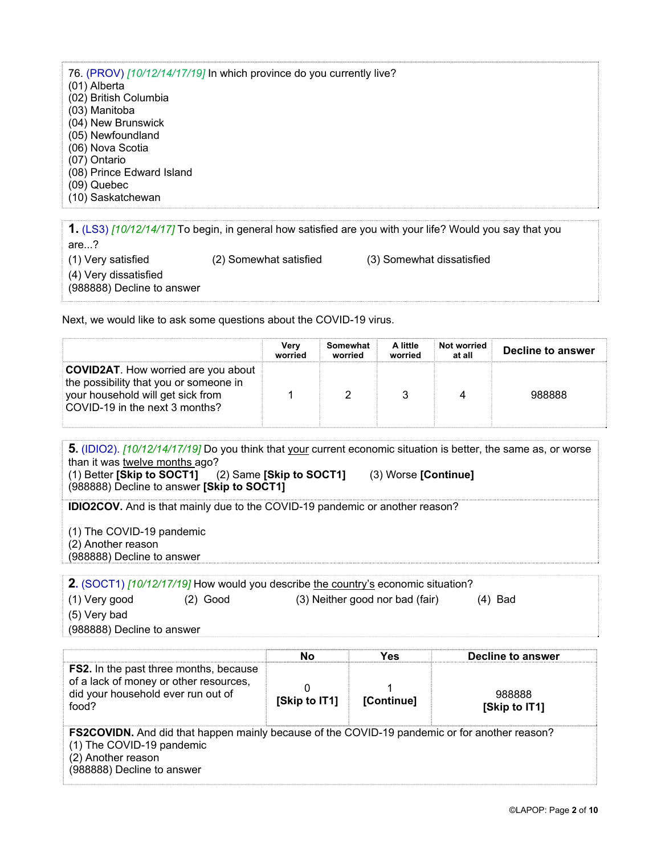76. (PROV) *[10/12/14/17/19]* In which province do you currently live? (01) Alberta (02) British Columbia (03) Manitoba (04) New Brunswick (05) Newfoundland (06) Nova Scotia (07) Ontario (08) Prince Edward Island (09) Quebec (10) Saskatchewan **1.** (LS3) *[10/12/14/17]* To begin, in general how satisfied are you with your life? Would you say that you are...?

(1) Very satisfied (2) Somewhat satisfied (3) Somewhat dissatisfied

(4) Very dissatisfied

(988888) Decline to answer

Next, we would like to ask some questions about the COVID-19 virus.

|                                                                                                                                                             | Verv<br>worried | Somewhat<br>worried | A little<br>worried | Not worried<br>at all | Decline to answer |
|-------------------------------------------------------------------------------------------------------------------------------------------------------------|-----------------|---------------------|---------------------|-----------------------|-------------------|
| <b>COVID2AT.</b> How worried are you about<br>the possibility that you or someone in<br>your household will get sick from<br>COVID-19 in the next 3 months? |                 |                     |                     |                       | 988888            |

**5.** (IDIO2). *[10/12/14/17/19]* Do you think that your current economic situation is better, the same as, or worse than it was twelve months ago?<br>(1) Better [Skip to SOCT1] (1) Better **[Skip to SOCT1]** (2) Same **[Skip to SOCT1]** (3) Worse **[Continue]**

(988888) Decline to answer **[Skip to SOCT1]**

**IDIO2COV.** And is that mainly due to the COVID-19 pandemic or another reason?

(1) The COVID-19 pandemic

(2) Another reason

(988888) Decline to answer

**2.** (SOCT1) [10/12/17/19] How would you describe the country's economic situation?

| (1) Very good | $(2)$ Good | (3) Neither good nor bad (fair) | $(4)$ Bad |
|---------------|------------|---------------------------------|-----------|
| (5) Very bad  |            |                                 |           |

(988888) Decline to answer

|                                                                                                                                                                                       | No            | Yes        | Decline to answer       |
|---------------------------------------------------------------------------------------------------------------------------------------------------------------------------------------|---------------|------------|-------------------------|
| <b>FS2.</b> In the past three months, because<br>of a lack of money or other resources,<br>did your household ever run out of<br>food?                                                | [Skip to IT1] | [Continue] | 988888<br>[Skip to IT1] |
| <b>FS2COVIDN.</b> And did that happen mainly because of the COVID-19 pandemic or for another reason?<br>(1) The COVID-19 pandemic<br>(2) Another reason<br>(988888) Decline to answer |               |            |                         |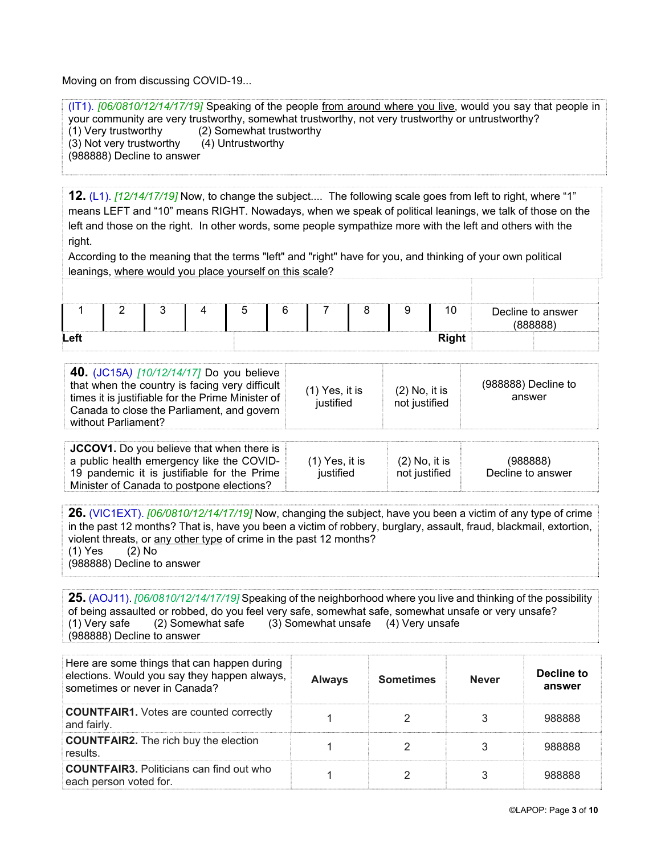Moving on from discussing COVID-19...

(IT1). *[06/0810/12/14/17/19]* Speaking of the people from around where you live, would you say that people in your community are very trustworthy, somewhat trustworthy, not very trustworthy or untrustworthy? (1) Very trustworthy (2) Somewhat trustworthy (3) Not very trustworthy (4) Untrustworthy (988888) Decline to answer

**12.** (L1). *[12/14/17/19]* Now, to change the subject.... The following scale goes from left to right, where "1" means LEFT and "10" means RIGHT. Nowadays, when we speak of political leanings, we talk of those on the left and those on the right. In other words, some people sympathize more with the left and others with the right.

According to the meaning that the terms "left" and "right" have for you, and thinking of your own political leanings, where would you place yourself on this scale?

|      |  |  |  |  | $\overline{\phantom{a}}$<br>10 | Decline to answer<br><b>(RRRRRR)</b> |
|------|--|--|--|--|--------------------------------|--------------------------------------|
| Left |  |  |  |  | <b>Right</b>                   |                                      |

| <b>40.</b> (JC15A) [10/12/14/17] Do you believe<br>that when the country is facing very difficult<br>$(1)$ Yes, it is<br>times it is justifiable for the Prime Minister of<br>justified<br>Canada to close the Parliament, and govern<br>without Parliament? | (988888) Decline to<br>$(2)$ No, it is<br>answer<br>not justified |
|--------------------------------------------------------------------------------------------------------------------------------------------------------------------------------------------------------------------------------------------------------------|-------------------------------------------------------------------|
|--------------------------------------------------------------------------------------------------------------------------------------------------------------------------------------------------------------------------------------------------------------|-------------------------------------------------------------------|

| <b>JCCOV1.</b> Do you believe that when there is |                  |                 |                   |
|--------------------------------------------------|------------------|-----------------|-------------------|
| a public health emergency like the COVID-        | $(1)$ Yes, it is | $(2)$ No, it is | (988888)          |
| 19 pandemic it is justifiable for the Prime      | iustified        | not iustified   | Decline to answer |
| Minister of Canada to postpone elections?        |                  |                 |                   |

**26.** (VIC1EXT). *[06/0810/12/14/17/19]* Now, changing the subject, have you been a victim of any type of crime in the past 12 months? That is, have you been a victim of robbery, burglary, assault, fraud, blackmail, extortion, violent threats, or any other type of crime in the past 12 months? (1) Yes (2) No (988888) Decline to answer

**25.** (AOJ11). *[06/0810/12/14/17/19]* Speaking of the neighborhood where you live and thinking of the possibility of being assaulted or robbed, do you feel very safe, somewhat safe, somewhat unsafe or very unsafe? (1) Very safe (2) Somewhat safe (3) Somewhat unsafe (4) Very unsafe (988888) Decline to answer

| Here are some things that can happen during<br>elections. Would you say they happen always,<br>sometimes or never in Canada? | <b>Always</b> | <b>Sometimes</b> | <b>Never</b> | Decline to<br>answer |
|------------------------------------------------------------------------------------------------------------------------------|---------------|------------------|--------------|----------------------|
| <b>COUNTFAIR1.</b> Votes are counted correctly<br>and fairly.                                                                |               |                  |              | 988888               |
| <b>COUNTFAIR2.</b> The rich buy the election<br>results                                                                      |               |                  |              | 988888               |
| <b>COUNTFAIR3.</b> Politicians can find out who<br>each person voted for.                                                    |               |                  |              | 988888               |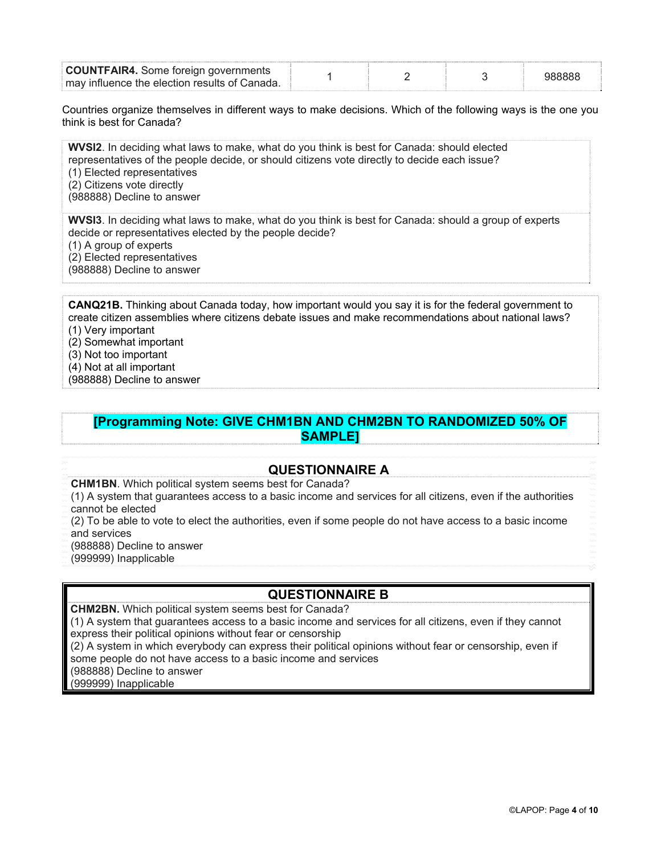| <b>COUNTFAIR4.</b> Some foreign governments    |  |  |
|------------------------------------------------|--|--|
| ⊧mav influence the election results of Canada. |  |  |

Countries organize themselves in different ways to make decisions. Which of the following ways is the one you think is best for Canada?

**WVSI2**. In deciding what laws to make, what do you think is best for Canada: should elected representatives of the people decide, or should citizens vote directly to decide each issue? (1) Elected representatives (2) Citizens vote directly

(988888) Decline to answer

**WVSI3**. In deciding what laws to make, what do you think is best for Canada: should a group of experts decide or representatives elected by the people decide?

(1) A group of experts

(2) Elected representatives

(988888) Decline to answer

**CANQ21B.** Thinking about Canada today, how important would you say it is for the federal government to create citizen assemblies where citizens debate issues and make recommendations about national laws? (1) Very important

(2) Somewhat important (3) Not too important

(4) Not at all important

(988888) Decline to answer

**[Programming Note: GIVE CHM1BN AND CHM2BN TO RANDOMIZED 50% OF SAMPLE]**

## **QUESTIONNAIRE A**

**CHM1BN**. Which political system seems best for Canada?

(1) A system that guarantees access to a basic income and services for all citizens, even if the authorities cannot be elected

(2) To be able to vote to elect the authorities, even if some people do not have access to a basic income and services

(988888) Decline to answer

(999999) Inapplicable

# **QUESTIONNAIRE B**

**CHM2BN.** Which political system seems best for Canada?

(1) A system that guarantees access to a basic income and services for all citizens, even if they cannot express their political opinions without fear or censorship

(2) A system in which everybody can express their political opinions without fear or censorship, even if some people do not have access to a basic income and services

(988888) Decline to answer

(999999) Inapplicable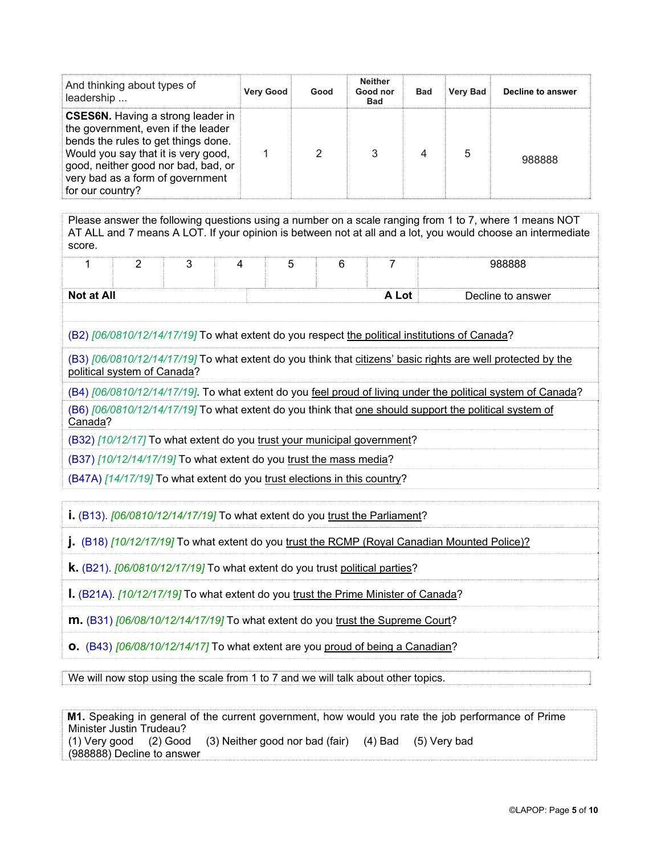| And thinking about types of<br>leadership                                                                                                                                                                                                                   | <b>Very Good</b> | Good | <b>Neither</b><br>Good nor<br><b>Bad</b> | <b>Bad</b> | <b>Very Bad</b> | Decline to answer |
|-------------------------------------------------------------------------------------------------------------------------------------------------------------------------------------------------------------------------------------------------------------|------------------|------|------------------------------------------|------------|-----------------|-------------------|
| <b>CSES6N.</b> Having a strong leader in<br>the government, even if the leader<br>bends the rules to get things done.<br>Would you say that it is very good,<br>good, neither good nor bad, bad, or<br>very bad as a form of government<br>for our country? |                  | 2    | 3                                        |            | 5               | 988888            |

Please answer the following questions using a number on a scale ranging from 1 to 7, where 1 means NOT AT ALL and 7 means A LOT. If your opinion is between not at all and a lot, you would choose an intermediate score.

|            | - |  |  |       | 988888            |
|------------|---|--|--|-------|-------------------|
|            |   |  |  |       |                   |
| Not at All |   |  |  | A Lot | Decline to answer |

(B2) *[06/0810/12/14/17/19]* To what extent do you respect the political institutions of Canada?

(B3) *[06/0810/12/14/17/19]* To what extent do you think that citizens' basic rights are well protected by the political system of Canada?

(B4) *[06/0810/12/14/17/19]*. To what extent do you feel proud of living under the political system of Canada?

(B6) *[06/0810/12/14/17/19]* To what extent do you think that one should support the political system of Canada?

(B32) *[10/12/17]* To what extent do you trust your municipal government?

(B37) *[10/12/14/17/19]* To what extent do you trust the mass media?

(B47A) *[14/17/19]* To what extent do you trust elections in this country?

**i.** (B13). *[06/0810/12/14/17/19]* To what extent do you trust the Parliament?

**j.** (B18) *[10/12/17/19]* To what extent do you trust the RCMP (Royal Canadian Mounted Police)?

**k.** (B21). *[06/0810/12/17/19]* To what extent do you trust political parties?

**l.** (B21A). *[10/12/17/19]* To what extent do you trust the Prime Minister of Canada?

**m.** (B31) *[06/08/10/12/14/17/19]* To what extent do you trust the Supreme Court?

**o.** (B43) *[06/08/10/12/14/17]* To what extent are you proud of being a Canadian?

We will now stop using the scale from 1 to 7 and we will talk about other topics.

|                            |                                                                | M1. Speaking in general of the current government, how would you rate the job performance of Prime |  |
|----------------------------|----------------------------------------------------------------|----------------------------------------------------------------------------------------------------|--|
| Minister Justin Trudeau?   |                                                                |                                                                                                    |  |
|                            | (1) Very good (2) Good (3) Neither good nor bad (fair) (4) Bad | (5) Verv bad                                                                                       |  |
| (988888) Decline to answer |                                                                |                                                                                                    |  |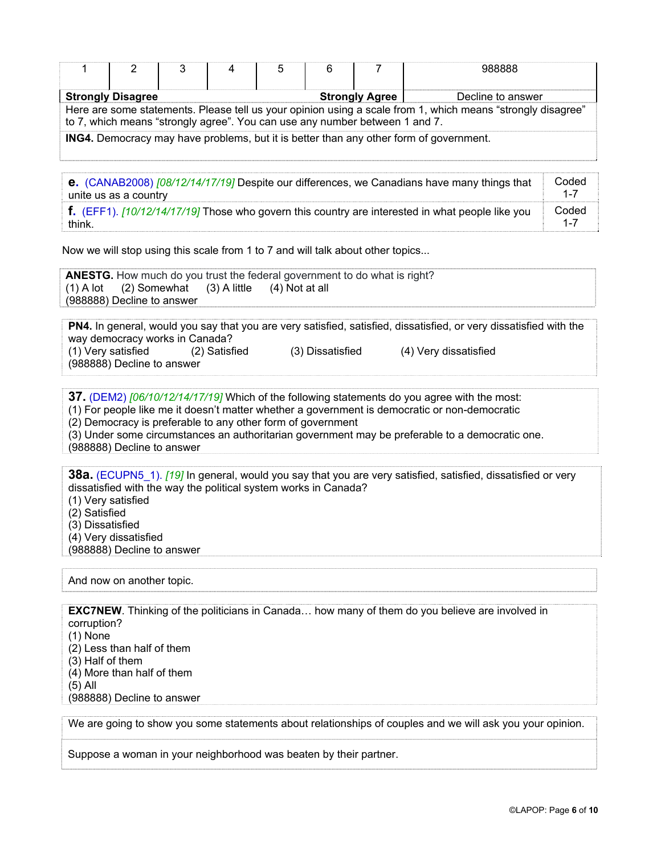|                                                                                                             |                          |  |  | ხ                     |                   |  | 988888 |  |  |  |
|-------------------------------------------------------------------------------------------------------------|--------------------------|--|--|-----------------------|-------------------|--|--------|--|--|--|
|                                                                                                             | <b>Strongly Disagree</b> |  |  | <b>Strongly Agree</b> | Decline to answer |  |        |  |  |  |
| Here are some statements. Please tell us your opinion using a scale from 1, which means "strongly disagree" |                          |  |  |                       |                   |  |        |  |  |  |
| to 7, which means "strongly agree". You can use any number between 1 and 7.                                 |                          |  |  |                       |                   |  |        |  |  |  |
| <b>ING4.</b> Democracy may have problems, but it is better than any other form of government.               |                          |  |  |                       |                   |  |        |  |  |  |

**e.** (CANAB2008) *[08/12/14/17/19]* Despite our differences, we Canadians have many things that unite us as a country Coded 1-7 **f.** (EFF1). *[10/12/14/17/19]* Those who govern this country are interested in what people like you think. Coded 1-7

Now we will stop using this scale from 1 to 7 and will talk about other topics...

|                                                            | <b>ANESTG.</b> How much do you trust the federal government to do what is right? |  |
|------------------------------------------------------------|----------------------------------------------------------------------------------|--|
| $(1)$ A lot $(2)$ Somewhat $(3)$ A little $(4)$ Not at all |                                                                                  |  |
| (988888) Decline to answer                                 |                                                                                  |  |

**PN4.** In general, would you say that you are very satisfied, satisfied, dissatisfied, or very dissatisfied with the way democracy works in Canada?<br>(1) Very satisfied (2) Satisfi (2) Satisfied (3) Dissatisfied (4) Very dissatisfied (988888) Decline to answer

**37.** (DEM2) *[06/10/12/14/17/19]* Which of the following statements do you agree with the most:

(1) For people like me it doesn't matter whether a government is democratic or non-democratic

(2) Democracy is preferable to any other form of government

(3) Under some circumstances an authoritarian government may be preferable to a democratic one.

(988888) Decline to answer

**38a.** (ECUPN5\_1). *[19]* In general, would you say that you are very satisfied, satisfied, dissatisfied or very dissatisfied with the way the political system works in Canada?

(1) Very satisfied

(2) Satisfied

(3) Dissatisfied

(4) Very dissatisfied

(988888) Decline to answer

And now on another topic.

**EXC7NEW**. Thinking of the politicians in Canada... how many of them do you believe are involved in corruption?

(1) None

(2) Less than half of them

(3) Half of them

(4) More than half of them

(5) All

(988888) Decline to answer

We are going to show you some statements about relationships of couples and we will ask you your opinion.

Suppose a woman in your neighborhood was beaten by their partner.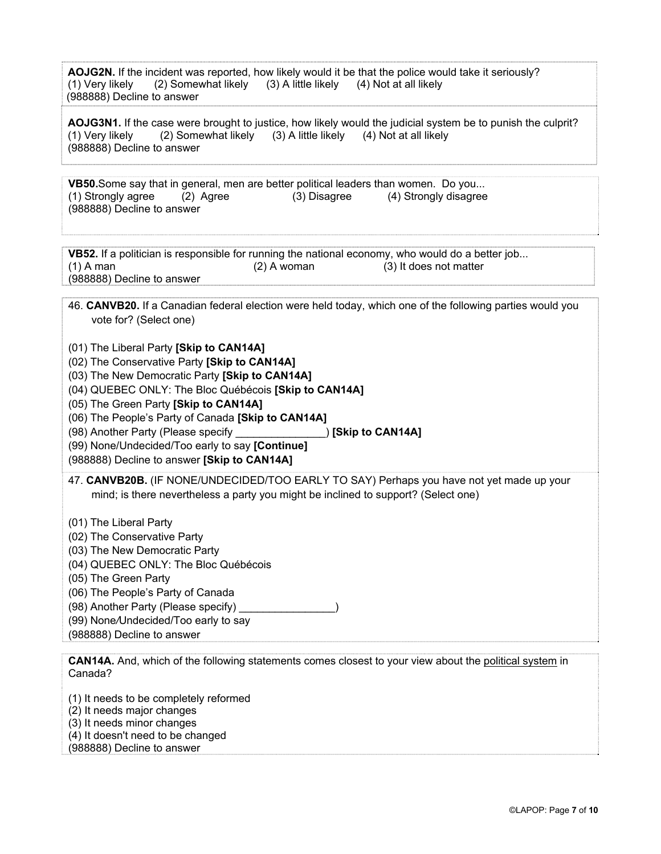|                            |                                                                               | AOJG2N. If the incident was reported, how likely would it be that the police would take it seriously? |
|----------------------------|-------------------------------------------------------------------------------|-------------------------------------------------------------------------------------------------------|
|                            | (1) Very likely (2) Somewhat likely (3) A little likely (4) Not at all likely |                                                                                                       |
| (988888) Decline to answer |                                                                               |                                                                                                       |
|                            |                                                                               |                                                                                                       |

**AOJG3N1.** If the case were brought to justice, how likely would the judicial system be to punish the culprit? (1) Very likely (2) Somewhat likely (3) A little likely (4) Not at all likely (988888) Decline to answer

**VB50.**Some say that in general, men are better political leaders than women. Do you... (1) Strongly agree (2) Agree (3) Disagree (4) Strongly disagree (988888) Decline to answer

**VB52.** If a politician is responsible for running the national economy, who would do a better job... (1) A man (2) A woman (3) It does not matter (988888) Decline to answer

|                        |  | 46. CANVB20. If a Canadian federal election were held today, which one of the following parties would you |
|------------------------|--|-----------------------------------------------------------------------------------------------------------|
| vote for? (Select one) |  |                                                                                                           |

- (01) The Liberal Party **[Skip to CAN14A]**
- (02) The Conservative Party **[Skip to CAN14A]**
- (03) The New Democratic Party **[Skip to CAN14A]**
- (04) QUEBEC ONLY: The Bloc Québécois **[Skip to CAN14A]**
- (05) The Green Party **[Skip to CAN14A]**
- (06) The People's Party of Canada **[Skip to CAN14A]**
- (98) Another Party (Please specify \_\_\_\_\_\_\_\_\_\_\_\_\_\_\_) **[Skip to CAN14A]**
- (99) None/Undecided/Too early to say **[Continue]**
- (988888) Decline to answer **[Skip to CAN14A]**
- 47. **CANVB20B.** (IF NONE/UNDECIDED/TOO EARLY TO SAY) Perhaps you have not yet made up your mind; is there nevertheless a party you might be inclined to support? (Select one)
- (01) The Liberal Party
- (02) The Conservative Party
- (03) The New Democratic Party
- (04) QUEBEC ONLY: The Bloc Québécois
- (05) The Green Party
- (06) The People's Party of Canada
- (98) Another Party (Please specify)
- (99) None*/*Undecided/Too early to say
- (988888) Decline to answer

**CAN14A.** And, which of the following statements comes closest to your view about the political system in Canada?

- (1) It needs to be completely reformed
- (2) It needs major changes
- (3) It needs minor changes
- (4) It doesn't need to be changed
- (988888) Decline to answer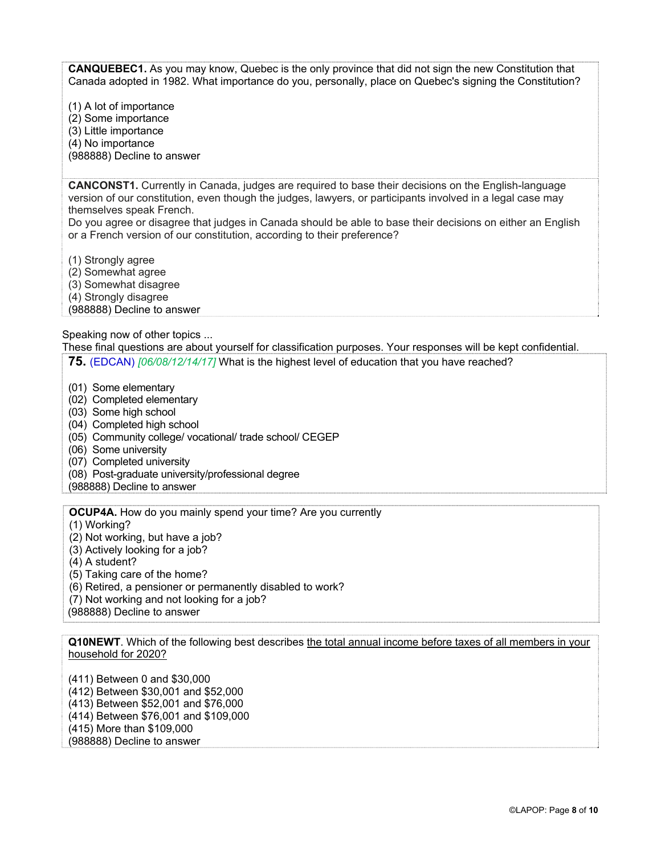**CANQUEBEC1.** As you may know, Quebec is the only province that did not sign the new Constitution that Canada adopted in 1982. What importance do you, personally, place on Quebec's signing the Constitution?

(1) A lot of importance (2) Some importance (3) Little importance (4) No importance (988888) Decline to answer

**CANCONST1.** Currently in Canada, judges are required to base their decisions on the English-language version of our constitution, even though the judges, lawyers, or participants involved in a legal case may themselves speak French.

Do you agree or disagree that judges in Canada should be able to base their decisions on either an English or a French version of our constitution, according to their preference?

(1) Strongly agree

(2) Somewhat agree

(3) Somewhat disagree

(4) Strongly disagree

(988888) Decline to answer

Speaking now of other topics ...

These final questions are about yourself for classification purposes. Your responses will be kept confidential. **75.** (EDCAN) *[06/08/12/14/17]* What is the highest level of education that you have reached?

(01) Some elementary

(02) Completed elementary

(03) Some high school

(04) Completed high school

(05) Community college/ vocational/ trade school/ CEGEP

(06) Some university

(07) Completed university

(08) Post-graduate university/professional degree

(988888) Decline to answer

**OCUP4A.** How do you mainly spend your time? Are you currently

(1) Working?

(2) Not working, but have a job?

(3) Actively looking for a job?

(4) A student?

(5) Taking care of the home?

(6) Retired, a pensioner or permanently disabled to work?

(7) Not working and not looking for a job?

(988888) Decline to answer

**Q10NEWT**. Which of the following best describes the total annual income before taxes of all members in your household for 2020?

(411) Between 0 and \$30,000 (412) Between \$30,001 and \$52,000 (413) Between \$52,001 and \$76,000 (414) Between \$76,001 and \$109,000 (415) More than \$109,000 (988888) Decline to answer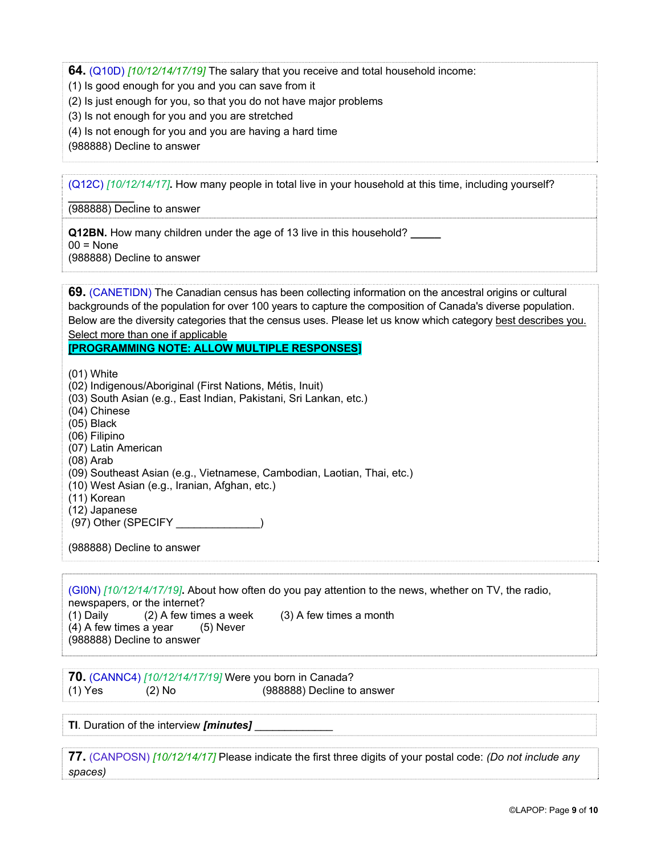**64.** (Q10D) *[10/12/14/17/19]* The salary that you receive and total household income:

(1) Is good enough for you and you can save from it

- (2) Is just enough for you, so that you do not have major problems
- (3) Is not enough for you and you are stretched
- (4) Is not enough for you and you are having a hard time

(988888) Decline to answer

(Q12C) *[10/12/14/17]***.** How many people in total live in your household at this time, including yourself?

(988888) Decline to answer

**\_\_\_\_\_\_\_\_\_\_\_** 

**Q12BN.** How many children under the age of 13 live in this household? **\_\_\_\_\_**   $00 = \text{None}$ (988888) Decline to answer

**69.** (CANETIDN) The Canadian census has been collecting information on the ancestral origins or cultural backgrounds of the population for over 100 years to capture the composition of Canada's diverse population. Below are the diversity categories that the census uses. Please let us know which category best describes you. Select more than one if applicable

#### **[PROGRAMMING NOTE: ALLOW MULTIPLE RESPONSES]**

(01) White (02) Indigenous/Aboriginal (First Nations, Métis, Inuit) (03) South Asian (e.g., East Indian, Pakistani, Sri Lankan, etc.) (04) Chinese (05) Black (06) Filipino (07) Latin American (08) Arab (09) Southeast Asian (e.g., Vietnamese, Cambodian, Laotian, Thai, etc.) (10) West Asian (e.g., Iranian, Afghan, etc.) (11) Korean (12) Japanese (97) Other (SPECIFY \_\_\_\_\_\_\_\_\_\_\_\_\_\_) (988888) Decline to answer

(GI0N) *[10/12/14/17/19]***.** About how often do you pay attention to the news, whether on TV, the radio, newspapers, or the internet? (1) Daily (2) A few times a week (3) A few times a month  $(4)$  A few times a year  $(5)$  Never (988888) Decline to answer

**70.** (CANNC4) *[10/12/14/17/19]* Were you born in Canada?  $(1)$  Yes  $(2)$  No  $(988888)$  Decline to answer

**TI**. Duration of the interview *[minutes]* 

**77.** (CANPOSN) *[10/12/14/17]* Please indicate the first three digits of your postal code: *(Do not include any spaces)*